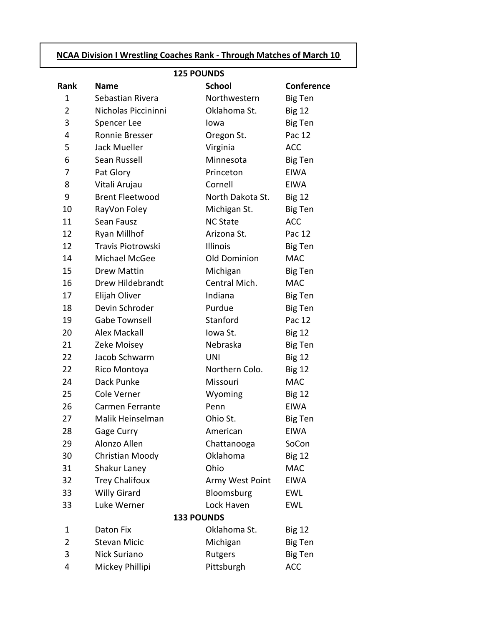| <b>NCAA Division I Wrestling Coaches Rank - Through Matches of March 10</b> |
|-----------------------------------------------------------------------------|
|-----------------------------------------------------------------------------|

| <b>125 POUNDS</b> |                        |                  |                |  |
|-------------------|------------------------|------------------|----------------|--|
| Rank              | <b>Name</b>            | <b>School</b>    | Conference     |  |
| 1                 | Sebastian Rivera       | Northwestern     | <b>Big Ten</b> |  |
| $\overline{2}$    | Nicholas Piccininni    | Oklahoma St.     | <b>Big 12</b>  |  |
| 3                 | Spencer Lee            | lowa             | Big Ten        |  |
| 4                 | Ronnie Bresser         | Oregon St.       | Pac 12         |  |
| 5                 | Jack Mueller           | Virginia         | <b>ACC</b>     |  |
| 6                 | Sean Russell           | Minnesota        | <b>Big Ten</b> |  |
| 7                 | Pat Glory              | Princeton        | <b>EIWA</b>    |  |
| 8                 | Vitali Arujau          | Cornell          | <b>EIWA</b>    |  |
| 9                 | <b>Brent Fleetwood</b> | North Dakota St. | <b>Big 12</b>  |  |
| 10                | RayVon Foley           | Michigan St.     | Big Ten        |  |
| 11                | Sean Fausz             | <b>NC State</b>  | <b>ACC</b>     |  |
| 12                | Ryan Millhof           | Arizona St.      | Pac 12         |  |
| 12                | Travis Piotrowski      | Illinois         | Big Ten        |  |
| 14                | Michael McGee          | Old Dominion     | <b>MAC</b>     |  |
| 15                | <b>Drew Mattin</b>     | Michigan         | Big Ten        |  |
| 16                | Drew Hildebrandt       | Central Mich.    | <b>MAC</b>     |  |
| 17                | Elijah Oliver          | Indiana          | <b>Big Ten</b> |  |
| 18                | Devin Schroder         | Purdue           | <b>Big Ten</b> |  |
| 19                | <b>Gabe Townsell</b>   | Stanford         | Pac 12         |  |
| 20                | <b>Alex Mackall</b>    | Iowa St.         | <b>Big 12</b>  |  |
| 21                | Zeke Moisey            | Nebraska         | <b>Big Ten</b> |  |
| 22                | Jacob Schwarm          | UNI              | <b>Big 12</b>  |  |
| 22                | Rico Montoya           | Northern Colo.   | <b>Big 12</b>  |  |
| 24                | Dack Punke             | Missouri         | <b>MAC</b>     |  |
| 25                | Cole Verner            | Wyoming          | <b>Big 12</b>  |  |
| 26                | <b>Carmen Ferrante</b> | Penn             | <b>EIWA</b>    |  |
| 27                | Malik Heinselman       | Ohio St.         | <b>Big Ten</b> |  |
| 28                | Gage Curry             | American         | EIWA           |  |
| 29                | Alonzo Allen           | Chattanooga      | SoCon          |  |
| 30                | Christian Moody        | Oklahoma         | <b>Big 12</b>  |  |
| 31                | Shakur Laney           | Ohio             | <b>MAC</b>     |  |
| 32                | <b>Trey Chalifoux</b>  | Army West Point  | <b>EIWA</b>    |  |
| 33                | <b>Willy Girard</b>    | Bloomsburg       | <b>EWL</b>     |  |
| 33                | Luke Werner            | Lock Haven       | <b>EWL</b>     |  |
| <b>133 POUNDS</b> |                        |                  |                |  |
| 1                 | Daton Fix              | Oklahoma St.     | <b>Big 12</b>  |  |
| $\overline{2}$    | <b>Stevan Micic</b>    | Michigan         | <b>Big Ten</b> |  |
| 3                 | Nick Suriano           | Rutgers          | <b>Big Ten</b> |  |
| 4                 | Mickey Phillipi        | Pittsburgh       | <b>ACC</b>     |  |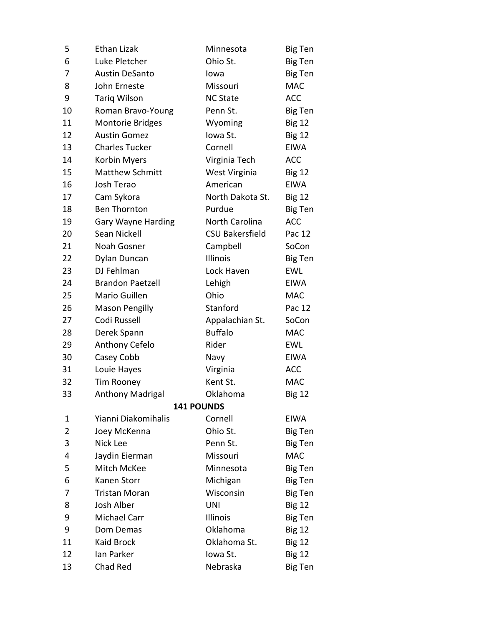| 5              | <b>Ethan Lizak</b>        | Minnesota              | Big Ten        |
|----------------|---------------------------|------------------------|----------------|
| 6              | Luke Pletcher             | Ohio St.               | Big Ten        |
| 7              | <b>Austin DeSanto</b>     | Iowa                   | Big Ten        |
| 8              | John Erneste              | Missouri               | <b>MAC</b>     |
| 9              | <b>Tariq Wilson</b>       | <b>NC State</b>        | <b>ACC</b>     |
| 10             | Roman Bravo-Young         | Penn St.               | Big Ten        |
| 11             | <b>Montorie Bridges</b>   | Wyoming                | <b>Big 12</b>  |
| 12             | <b>Austin Gomez</b>       | Iowa St.               | <b>Big 12</b>  |
| 13             | <b>Charles Tucker</b>     | Cornell                | <b>EIWA</b>    |
| 14             | Korbin Myers              | Virginia Tech          | <b>ACC</b>     |
| 15             | <b>Matthew Schmitt</b>    | West Virginia          | <b>Big 12</b>  |
| 16             | Josh Terao                | American               | <b>EIWA</b>    |
| 17             | Cam Sykora                | North Dakota St.       | <b>Big 12</b>  |
| 18             | <b>Ben Thornton</b>       | Purdue                 | Big Ten        |
| 19             | <b>Gary Wayne Harding</b> | North Carolina         | <b>ACC</b>     |
| 20             | <b>Sean Nickell</b>       | <b>CSU Bakersfield</b> | Pac 12         |
| 21             | Noah Gosner               | Campbell               | SoCon          |
| 22             | Dylan Duncan              | <b>Illinois</b>        | <b>Big Ten</b> |
| 23             | DJ Fehlman                | Lock Haven             | EWL            |
| 24             | <b>Brandon Paetzell</b>   | Lehigh                 | <b>EIWA</b>    |
| 25             | Mario Guillen             | Ohio                   | <b>MAC</b>     |
| 26             | <b>Mason Pengilly</b>     | Stanford               | Pac 12         |
| 27             | Codi Russell              | Appalachian St.        | SoCon          |
| 28             | Derek Spann               | <b>Buffalo</b>         | <b>MAC</b>     |
| 29             | Anthony Cefelo            | Rider                  | EWL            |
| 30             | Casey Cobb                | Navy                   | <b>EIWA</b>    |
| 31             | Louie Hayes               | Virginia               | <b>ACC</b>     |
| 32             | Tim Rooney                | Kent St.               | <b>MAC</b>     |
| 33             | Anthony Madrigal          | Oklahoma               | <b>Big 12</b>  |
|                |                           | <b>141 POUNDS</b>      |                |
| 1              | Yianni Diakomihalis       | Cornell                | <b>EIWA</b>    |
| $\overline{2}$ | Joey McKenna              | Ohio St.               | Big Ten        |
| 3              | Nick Lee                  | Penn St.               | Big Ten        |
| 4              | Jaydin Eierman            | Missouri               | <b>MAC</b>     |
| 5              | Mitch McKee               | Minnesota              | Big Ten        |
| 6              | Kanen Storr               | Michigan               | Big Ten        |
| 7              | <b>Tristan Moran</b>      | Wisconsin              | Big Ten        |
| 8              | Josh Alber                | <b>UNI</b>             | <b>Big 12</b>  |
| 9              | Michael Carr              | Illinois               | Big Ten        |
| 9              | Dom Demas                 | Oklahoma               | <b>Big 12</b>  |
| 11             | <b>Kaid Brock</b>         | Oklahoma St.           | <b>Big 12</b>  |
| 12             | Ian Parker                | Iowa St.               | <b>Big 12</b>  |
| 13             | Chad Red                  | Nebraska               | Big Ten        |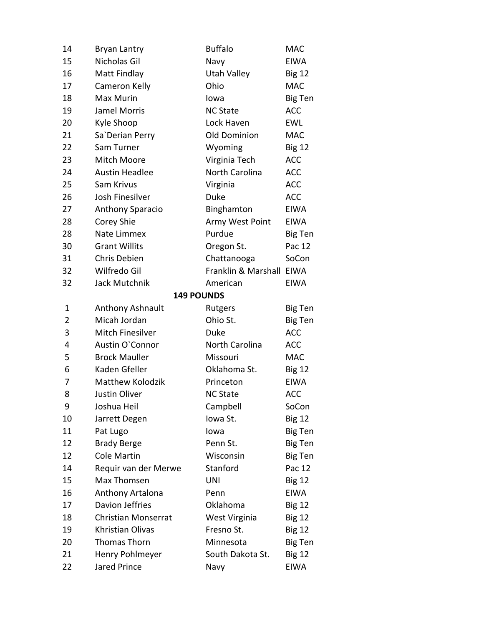| 14             | <b>Bryan Lantry</b>     | <b>Buffalo</b>           | MAC            |
|----------------|-------------------------|--------------------------|----------------|
| 15             | Nicholas Gil            | Navy                     | <b>EIWA</b>    |
| 16             | Matt Findlay            | Utah Valley              | <b>Big 12</b>  |
| 17             | Cameron Kelly           | Ohio                     | <b>MAC</b>     |
| 18             | Max Murin               | lowa                     | <b>Big Ten</b> |
| 19             | <b>Jamel Morris</b>     | <b>NC State</b>          | <b>ACC</b>     |
| 20             | Kyle Shoop              | Lock Haven               | <b>EWL</b>     |
| 21             | Sa'Derian Perry         | Old Dominion             | <b>MAC</b>     |
| 22             | Sam Turner              | Wyoming                  | <b>Big 12</b>  |
| 23             | Mitch Moore             | Virginia Tech            | <b>ACC</b>     |
| 24             | <b>Austin Headlee</b>   | North Carolina           | <b>ACC</b>     |
| 25             | Sam Krivus              | Virginia                 | <b>ACC</b>     |
| 26             | Josh Finesilver         | <b>Duke</b>              | <b>ACC</b>     |
| 27             | <b>Anthony Sparacio</b> | Binghamton               | <b>EIWA</b>    |
| 28             | Corey Shie              | Army West Point          | <b>EIWA</b>    |
| 28             | Nate Limmex             | Purdue                   | Big Ten        |
| 30             | <b>Grant Willits</b>    | Oregon St.               | Pac 12         |
| 31             | Chris Debien            | Chattanooga              | SoCon          |
| 32             | Wilfredo Gil            | Franklin & Marshall EIWA |                |
| 32             | Jack Mutchnik           | American                 | <b>EIWA</b>    |
|                |                         | <b>149 POUNDS</b>        |                |
| 1              | Anthony Ashnault        | Rutgers                  | Big Ten        |
| $\overline{2}$ | Micah Jordan            | Ohio St.                 | <b>Big Ten</b> |
| 3              | <b>Mitch Finesilver</b> | <b>Duke</b>              | <b>ACC</b>     |
| 4              | Austin O'Connor         | North Carolina           | <b>ACC</b>     |
| 5              | <b>Brock Mauller</b>    | Missouri                 | <b>MAC</b>     |
| 6              | Kaden Gfeller           | Oklahoma St.             | <b>Big 12</b>  |
| 7              | Matthew Kolodzik        | Princeton                | <b>EIWA</b>    |
| 8              | Justin Oliver           | <b>NC State</b>          | <b>ACC</b>     |
| 9              | Joshua Heil             | Campbell                 | SoCon          |
| 10             | Jarrett Degen           | Iowa St.                 | <b>Big 12</b>  |
| 11             | Pat Lugo                | lowa                     | Big Ten        |
| 12             | <b>Brady Berge</b>      | Penn St.                 | Big Ten        |
| 12             | <b>Cole Martin</b>      | Wisconsin                | Big Ten        |
| 14             | Requir van der Merwe    | Stanford                 | Pac 12         |
| 15             | Max Thomsen             | <b>UNI</b>               | <b>Big 12</b>  |
| 16             | Anthony Artalona        | Penn                     | <b>EIWA</b>    |
| 17             | Davion Jeffries         | Oklahoma                 | <b>Big 12</b>  |
| 18             | Christian Monserrat     | West Virginia            | <b>Big 12</b>  |
| 19             | <b>Khristian Olivas</b> | Fresno St.               | <b>Big 12</b>  |
| 20             | <b>Thomas Thorn</b>     | Minnesota                | Big Ten        |
| 21             | Henry Pohlmeyer         | South Dakota St.         | <b>Big 12</b>  |
| 22             | Jared Prince            | Navy                     | <b>EIWA</b>    |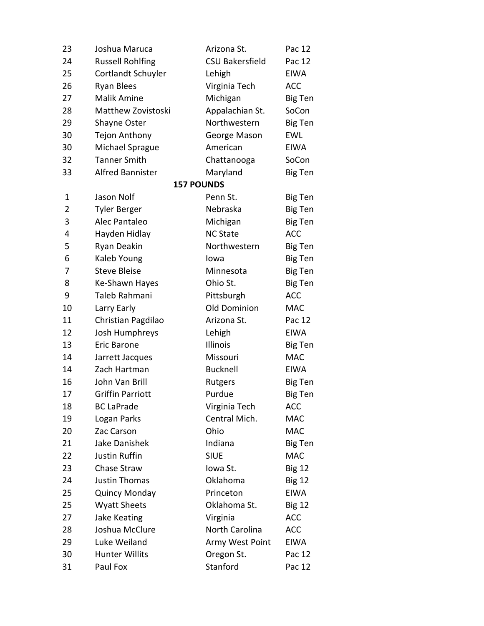| 23             | Joshua Maruca           | Arizona St.            | Pac 12         |
|----------------|-------------------------|------------------------|----------------|
| 24             | <b>Russell Rohlfing</b> | <b>CSU Bakersfield</b> | Pac 12         |
| 25             | Cortlandt Schuyler      | Lehigh                 | <b>EIWA</b>    |
| 26             | <b>Ryan Blees</b>       | Virginia Tech          | <b>ACC</b>     |
| 27             | <b>Malik Amine</b>      | Michigan               | Big Ten        |
| 28             | Matthew Zovistoski      | Appalachian St.        | SoCon          |
| 29             | Shayne Oster            | Northwestern           | Big Ten        |
| 30             | Tejon Anthony           | George Mason           | <b>EWL</b>     |
| 30             | Michael Sprague         | American               | <b>EIWA</b>    |
| 32             | <b>Tanner Smith</b>     | Chattanooga            | SoCon          |
| 33             | <b>Alfred Bannister</b> | Maryland               | Big Ten        |
|                |                         | <b>157 POUNDS</b>      |                |
| 1              | Jason Nolf              | Penn St.               | Big Ten        |
| $\overline{2}$ | <b>Tyler Berger</b>     | Nebraska               | Big Ten        |
| 3              | Alec Pantaleo           | Michigan               | <b>Big Ten</b> |
| 4              | Hayden Hidlay           | <b>NC State</b>        | <b>ACC</b>     |
| 5              | Ryan Deakin             | Northwestern           | Big Ten        |
| 6              | Kaleb Young             | Iowa                   | <b>Big Ten</b> |
| 7              | <b>Steve Bleise</b>     | Minnesota              | Big Ten        |
| 8              | Ke-Shawn Hayes          | Ohio St.               | Big Ten        |
| 9              | Taleb Rahmani           | Pittsburgh             | <b>ACC</b>     |
| 10             | Larry Early             | <b>Old Dominion</b>    | <b>MAC</b>     |
| 11             | Christian Pagdilao      | Arizona St.            | Pac 12         |
| 12             | Josh Humphreys          | Lehigh                 | <b>EIWA</b>    |
| 13             | <b>Eric Barone</b>      | Illinois               | Big Ten        |
| 14             | Jarrett Jacques         | Missouri               | <b>MAC</b>     |
| 14             | Zach Hartman            | <b>Bucknell</b>        | <b>EIWA</b>    |
| 16             | John Van Brill          | Rutgers                | Big Ten        |
| 17             | <b>Griffin Parriott</b> | Purdue                 | Big Ten        |
| 18             | <b>BC LaPrade</b>       | Virginia Tech          | <b>ACC</b>     |
| 19             | Logan Parks             | Central Mich.          | <b>MAC</b>     |
| 20             | Zac Carson              | Ohio                   | <b>MAC</b>     |
| 21             | Jake Danishek           | Indiana                | Big Ten        |
| 22             | <b>Justin Ruffin</b>    | <b>SIUE</b>            | <b>MAC</b>     |
| 23             | Chase Straw             | Iowa St.               | <b>Big 12</b>  |
| 24             | <b>Justin Thomas</b>    | Oklahoma               | <b>Big 12</b>  |
| 25             | <b>Quincy Monday</b>    | Princeton              | <b>EIWA</b>    |
| 25             | <b>Wyatt Sheets</b>     | Oklahoma St.           | <b>Big 12</b>  |
| 27             | <b>Jake Keating</b>     | Virginia               | <b>ACC</b>     |
| 28             | Joshua McClure          | North Carolina         | <b>ACC</b>     |
| 29             | Luke Weiland            | Army West Point        | <b>EIWA</b>    |
| 30             | <b>Hunter Willits</b>   | Oregon St.             | Pac 12         |
| 31             | Paul Fox                | Stanford               | Pac 12         |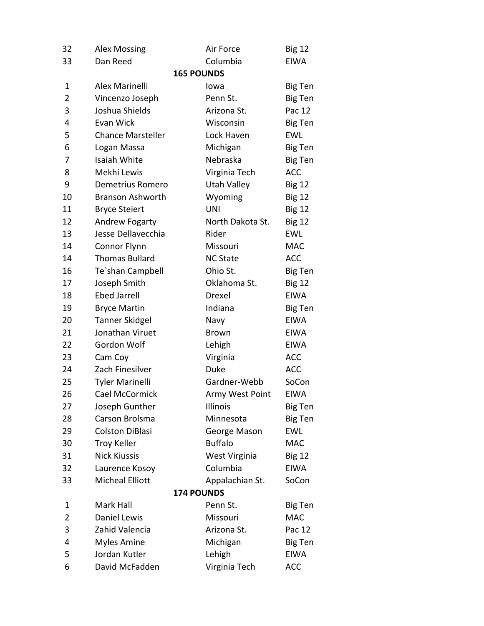| 32             | <b>Alex Mossing</b>      | Air Force         | <b>Big 12</b>  |
|----------------|--------------------------|-------------------|----------------|
| 33             | Dan Reed                 | Columbia          | <b>EIWA</b>    |
|                |                          | <b>165 POUNDS</b> |                |
| 1              | Alex Marinelli           | Iowa              | Big Ten        |
| $\overline{2}$ | Vincenzo Joseph          | Penn St.          | Big Ten        |
| 3              | Joshua Shields           | Arizona St.       | Pac 12         |
| 4              | Evan Wick                | Wisconsin         | Big Ten        |
| 5              | <b>Chance Marsteller</b> | Lock Haven        | <b>EWL</b>     |
| 6              | Logan Massa              | Michigan          | Big Ten        |
| 7              | Isaiah White             | Nebraska          | Big Ten        |
| 8              | Mekhi Lewis              | Virginia Tech     | <b>ACC</b>     |
| 9              | <b>Demetrius Romero</b>  | Utah Valley       | <b>Big 12</b>  |
| 10             | <b>Branson Ashworth</b>  | Wyoming           | <b>Big 12</b>  |
| 11             | <b>Bryce Steiert</b>     | <b>UNI</b>        | <b>Big 12</b>  |
| 12             | <b>Andrew Fogarty</b>    | North Dakota St.  | <b>Big 12</b>  |
| 13             | Jesse Dellavecchia       | Rider             | <b>EWL</b>     |
| 14             | Connor Flynn             | Missouri          | <b>MAC</b>     |
| 14             | <b>Thomas Bullard</b>    | <b>NC State</b>   | <b>ACC</b>     |
| 16             | Te'shan Campbell         | Ohio St.          | <b>Big Ten</b> |
| 17             | Joseph Smith             | Oklahoma St.      | <b>Big 12</b>  |
| 18             | <b>Ebed Jarrell</b>      | Drexel            | <b>EIWA</b>    |
| 19             | <b>Bryce Martin</b>      | Indiana           | Big Ten        |
| 20             | <b>Tanner Skidgel</b>    | Navy              | <b>EIWA</b>    |
| 21             | Jonathan Viruet          | <b>Brown</b>      | <b>EIWA</b>    |
| 22             | Gordon Wolf              | Lehigh            | <b>EIWA</b>    |
| 23             | Cam Coy                  | Virginia          | <b>ACC</b>     |
| 24             | Zach Finesilver          | Duke              | <b>ACC</b>     |
| 25             | <b>Tyler Marinelli</b>   | Gardner-Webb      | SoCon          |
| 26             | Cael McCormick           | Army West Point   | EIWA           |
| 27             | Joseph Gunther           | Illinois          | Big Ten        |
| 28             | Carson Brolsma           | Minnesota         | <b>Big Ten</b> |
| 29             | <b>Colston DiBlasi</b>   | George Mason      | <b>EWL</b>     |
| 30             | <b>Troy Keller</b>       | <b>Buffalo</b>    | <b>MAC</b>     |
| 31             | <b>Nick Kiussis</b>      | West Virginia     | <b>Big 12</b>  |
| 32             | Laurence Kosoy           | Columbia          | <b>EIWA</b>    |
| 33             | <b>Micheal Elliott</b>   | Appalachian St.   | SoCon          |
|                |                          | <b>174 POUNDS</b> |                |
| 1              | Mark Hall                | Penn St.          | <b>Big Ten</b> |
| $\overline{2}$ | Daniel Lewis             | Missouri          | <b>MAC</b>     |
| 3              | Zahid Valencia           | Arizona St.       | Pac 12         |
| 4              | <b>Myles Amine</b>       | Michigan          | <b>Big Ten</b> |
| 5              | Jordan Kutler            | Lehigh            | <b>EIWA</b>    |
| 6              | David McFadden           | Virginia Tech     | <b>ACC</b>     |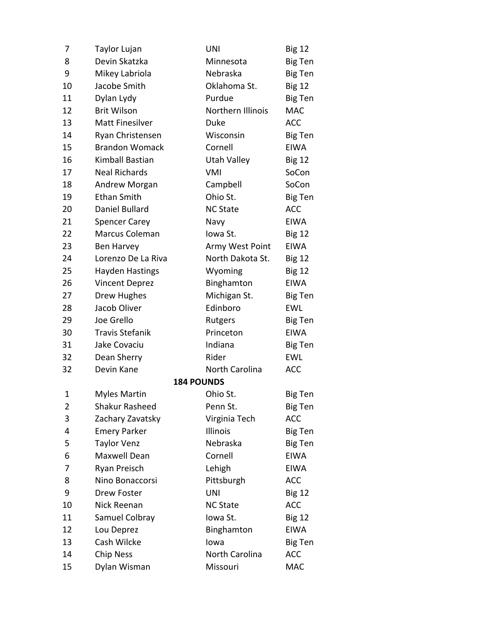| 7  | Taylor Lujan           | <b>UNI</b>        | <b>Big 12</b>  |
|----|------------------------|-------------------|----------------|
| 8  | Devin Skatzka          | Minnesota         | Big Ten        |
| 9  | Mikey Labriola         | Nebraska          | Big Ten        |
| 10 | Jacobe Smith           | Oklahoma St.      | <b>Big 12</b>  |
| 11 | Dylan Lydy             | Purdue            | Big Ten        |
| 12 | <b>Brit Wilson</b>     | Northern Illinois | <b>MAC</b>     |
| 13 | <b>Matt Finesilver</b> | <b>Duke</b>       | <b>ACC</b>     |
| 14 | Ryan Christensen       | Wisconsin         | Big Ten        |
| 15 | <b>Brandon Womack</b>  | Cornell           | <b>EIWA</b>    |
| 16 | Kimball Bastian        | Utah Valley       | <b>Big 12</b>  |
| 17 | <b>Neal Richards</b>   | <b>VMI</b>        | SoCon          |
| 18 | Andrew Morgan          | Campbell          | SoCon          |
| 19 | <b>Ethan Smith</b>     | Ohio St.          | <b>Big Ten</b> |
| 20 | Daniel Bullard         | <b>NC State</b>   | <b>ACC</b>     |
| 21 | <b>Spencer Carey</b>   | Navy              | <b>EIWA</b>    |
| 22 | Marcus Coleman         | Iowa St.          | <b>Big 12</b>  |
| 23 | <b>Ben Harvey</b>      | Army West Point   | <b>EIWA</b>    |
| 24 | Lorenzo De La Riva     | North Dakota St.  | <b>Big 12</b>  |
| 25 | <b>Hayden Hastings</b> | Wyoming           | <b>Big 12</b>  |
| 26 | <b>Vincent Deprez</b>  | Binghamton        | <b>EIWA</b>    |
| 27 | Drew Hughes            | Michigan St.      | Big Ten        |
| 28 | Jacob Oliver           | Edinboro          | EWL            |
| 29 | Joe Grello             | Rutgers           | Big Ten        |
| 30 | <b>Travis Stefanik</b> | Princeton         | <b>EIWA</b>    |
| 31 | Jake Covaciu           | Indiana           | <b>Big Ten</b> |
| 32 | Dean Sherry            | Rider             | <b>EWL</b>     |
| 32 | Devin Kane             | North Carolina    | <b>ACC</b>     |
|    |                        | <b>184 POUNDS</b> |                |
| 1  | <b>Myles Martin</b>    | Ohio St.          | <b>Big Ten</b> |
| 2  | Shakur Rasheed         | Penn St.          | <b>Big Ten</b> |
| 3  | Zachary Zavatsky       | Virginia Tech     | <b>ACC</b>     |
| 4  | <b>Emery Parker</b>    | Illinois          | Big Ten        |
| 5  | <b>Taylor Venz</b>     | Nebraska          | Big Ten        |
| 6  | Maxwell Dean           | Cornell           | <b>EIWA</b>    |
| 7  | Ryan Preisch           | Lehigh            | <b>EIWA</b>    |
| 8  | Nino Bonaccorsi        | Pittsburgh        | <b>ACC</b>     |
| 9  | Drew Foster            | <b>UNI</b>        | <b>Big 12</b>  |
| 10 | Nick Reenan            | <b>NC State</b>   | <b>ACC</b>     |
| 11 | Samuel Colbray         | Iowa St.          | <b>Big 12</b>  |
| 12 | Lou Deprez             | Binghamton        | <b>EIWA</b>    |
| 13 | Cash Wilcke            | Iowa              | <b>Big Ten</b> |
| 14 | <b>Chip Ness</b>       | North Carolina    | <b>ACC</b>     |
| 15 | Dylan Wisman           | Missouri          | <b>MAC</b>     |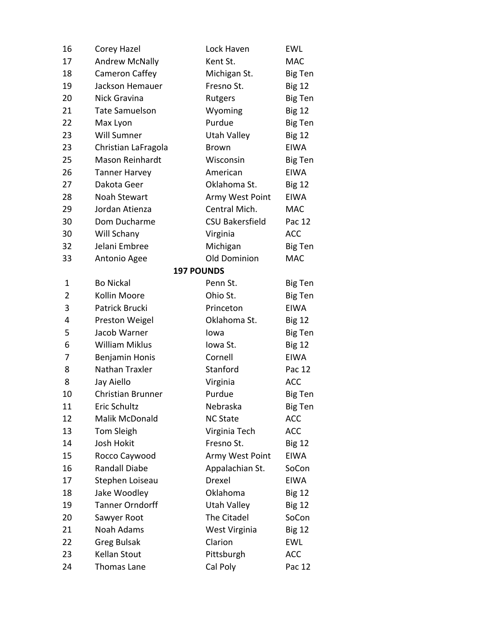| 16             | Corey Hazel              | Lock Haven             | <b>EWL</b>     |
|----------------|--------------------------|------------------------|----------------|
| 17             | <b>Andrew McNally</b>    | Kent St.               | <b>MAC</b>     |
| 18             | Cameron Caffey           | Michigan St.           | Big Ten        |
| 19             | Jackson Hemauer          | Fresno St.             | <b>Big 12</b>  |
| 20             | Nick Gravina             | Rutgers                | <b>Big Ten</b> |
| 21             | <b>Tate Samuelson</b>    | Wyoming                | <b>Big 12</b>  |
| 22             | Max Lyon                 | Purdue                 | Big Ten        |
| 23             | Will Sumner              | Utah Valley            | <b>Big 12</b>  |
| 23             | Christian LaFragola      | <b>Brown</b>           | <b>EIWA</b>    |
| 25             | <b>Mason Reinhardt</b>   | Wisconsin              | Big Ten        |
| 26             | <b>Tanner Harvey</b>     | American               | <b>EIWA</b>    |
| 27             | Dakota Geer              | Oklahoma St.           | <b>Big 12</b>  |
| 28             | Noah Stewart             | Army West Point        | <b>EIWA</b>    |
| 29             | Jordan Atienza           | Central Mich.          | <b>MAC</b>     |
| 30             | Dom Ducharme             | <b>CSU Bakersfield</b> | Pac 12         |
| 30             | Will Schany              | Virginia               | <b>ACC</b>     |
| 32             | Jelani Embree            | Michigan               | Big Ten        |
| 33             | Antonio Agee             | <b>Old Dominion</b>    | <b>MAC</b>     |
|                |                          | <b>197 POUNDS</b>      |                |
| 1              | <b>Bo Nickal</b>         | Penn St.               | Big Ten        |
| $\overline{2}$ | Kollin Moore             | Ohio St.               | Big Ten        |
| 3              | Patrick Brucki           | Princeton              | <b>EIWA</b>    |
| 4              | Preston Weigel           | Oklahoma St.           | <b>Big 12</b>  |
| 5              | Jacob Warner             | lowa                   | Big Ten        |
| 6              | <b>William Miklus</b>    | Iowa St.               | <b>Big 12</b>  |
| 7              | Benjamin Honis           | Cornell                | <b>EIWA</b>    |
| 8              | Nathan Traxler           | Stanford               | Pac 12         |
| 8              | Jay Aiello               | Virginia               | <b>ACC</b>     |
| 10             | <b>Christian Brunner</b> | Purdue                 | Big Ten        |
| 11             | <b>Eric Schultz</b>      | Nebraska               | <b>Big Ten</b> |
| 12             | Malik McDonald           | <b>NC State</b>        | <b>ACC</b>     |
| 13             | Tom Sleigh               | Virginia Tech          | <b>ACC</b>     |
| 14             | Josh Hokit               | Fresno St.             | <b>Big 12</b>  |
| 15             | Rocco Caywood            | Army West Point        | <b>EIWA</b>    |
| 16             | <b>Randall Diabe</b>     | Appalachian St.        | SoCon          |
| 17             | Stephen Loiseau          | Drexel                 | <b>EIWA</b>    |
| 18             | Jake Woodley             | Oklahoma               | <b>Big 12</b>  |
| 19             | <b>Tanner Orndorff</b>   | Utah Valley            | <b>Big 12</b>  |
| 20             | Sawyer Root              | The Citadel            | SoCon          |
| 21             | Noah Adams               | West Virginia          | <b>Big 12</b>  |
| 22             | Greg Bulsak              | Clarion                | <b>EWL</b>     |
| 23             | Kellan Stout             | Pittsburgh             | <b>ACC</b>     |
| 24             | <b>Thomas Lane</b>       | Cal Poly               | Pac 12         |